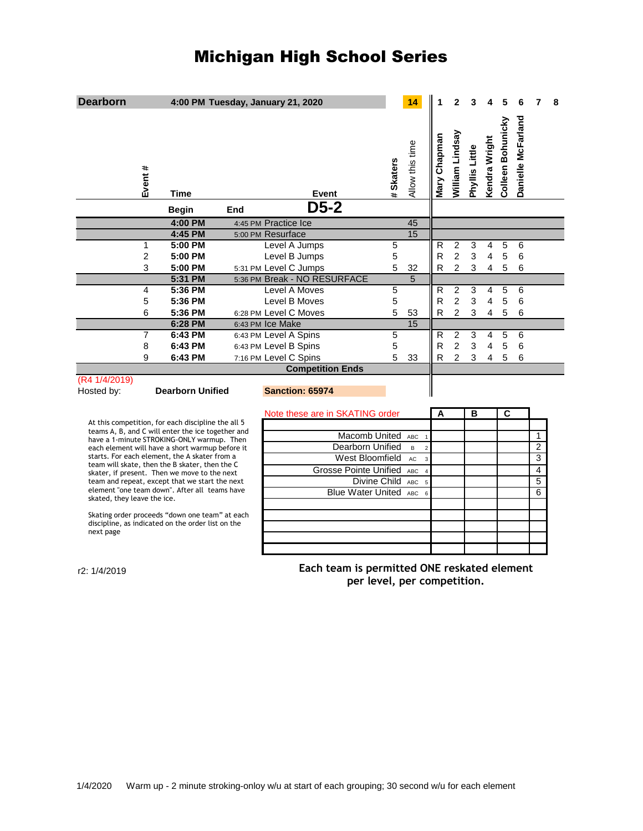## Michigan High School Series

| <b>Dearborn</b>                                                                                                  |                         |     | 4:00 PM Tuesday, January 21, 2020 |                                                                            |           | 14                               |                | 2                                |                |                |                   |                    |                | 8 |
|------------------------------------------------------------------------------------------------------------------|-------------------------|-----|-----------------------------------|----------------------------------------------------------------------------|-----------|----------------------------------|----------------|----------------------------------|----------------|----------------|-------------------|--------------------|----------------|---|
| Event #                                                                                                          | <b>Time</b>             |     | Event                             |                                                                            | # Skaters | Allow this time                  | Mary Chapman   | William Lindsay                  | Phyllis Little | Kendra Wright  | Colleen Bohunicky | Danielle McFarland |                |   |
|                                                                                                                  | <b>Begin</b>            | End | $D5-2$                            |                                                                            |           |                                  |                |                                  |                |                |                   |                    |                |   |
|                                                                                                                  | 4:00 PM                 |     | 4:45 PM Practice Ice              |                                                                            |           | 45                               |                |                                  |                |                |                   |                    |                |   |
|                                                                                                                  | 4:45 PM                 |     | 5:00 PM Resurface                 |                                                                            |           | $\overline{15}$                  |                |                                  |                |                |                   |                    |                |   |
| 1                                                                                                                | 5:00 PM                 |     | Level A Jumps                     |                                                                            | 5         |                                  | R              | $\overline{2}$                   | 3              | 4              | 5                 | 6                  |                |   |
| $\overline{2}$                                                                                                   | 5:00 PM                 |     | Level B Jumps                     |                                                                            | 5         |                                  | R              | $\overline{c}$                   | 3              | 4              | 5                 | 6                  |                |   |
| 3                                                                                                                | 5:00 PM                 |     | 5:31 PM Level C Jumps             |                                                                            | 5         | 32                               | R              | $\overline{2}$                   | 3              | 4              | 5                 | 6                  |                |   |
|                                                                                                                  | 5:31 PM                 |     | 5:36 PM Break - NO RESURFACE      |                                                                            |           | 5                                |                |                                  |                |                |                   |                    |                |   |
| 4                                                                                                                | 5:36 PM                 |     | Level A Moves                     |                                                                            | 5         |                                  | R              | 2                                | 3              | 4              | 5                 | 6                  |                |   |
| 5                                                                                                                | 5:36 PM                 |     | Level B Moves                     |                                                                            | 5         |                                  | $\overline{R}$ | $\overline{2}$                   | 3              | 4              | 5                 | 6                  |                |   |
| 6                                                                                                                | 5:36 PM                 |     | 6:28 PM Level C Moves             |                                                                            | 5         | 53                               | R              | $\overline{2}$                   | 3              | 4              | 5                 | 6                  |                |   |
|                                                                                                                  | 6:28 PM                 |     | 6:43 PM Ice Make                  |                                                                            |           | 15                               |                |                                  |                |                |                   |                    |                |   |
| 7                                                                                                                | 6:43 PM                 |     | 6:43 PM Level A Spins             |                                                                            | 5         |                                  | R              | 2                                | 3              | $\overline{4}$ | 5                 | 6                  |                |   |
| 8<br>9                                                                                                           | 6:43 PM                 |     | 6:43 PM Level B Spins             |                                                                            | 5<br>5    |                                  | R              | $\overline{2}$<br>$\overline{2}$ | 3              | 4              | 5                 | 6                  |                |   |
|                                                                                                                  | 6:43 PM                 |     | 7:16 PM Level C Spins             |                                                                            |           | 33                               | R              |                                  | 3              | 4              | 5                 | 6                  |                |   |
| <b>Competition Ends</b><br>(R4 1/4/2019)                                                                         |                         |     |                                   |                                                                            |           |                                  |                |                                  |                |                |                   |                    |                |   |
| Hosted by:                                                                                                       | <b>Dearborn Unified</b> |     | Sanction: 65974                   |                                                                            |           |                                  |                |                                  |                |                |                   |                    |                |   |
|                                                                                                                  |                         |     |                                   |                                                                            |           |                                  |                |                                  |                |                |                   |                    |                |   |
|                                                                                                                  |                         |     | Note these are in SKATING order   |                                                                            |           |                                  | A              |                                  | в              |                | С                 |                    |                |   |
| At this competition, for each discipline the all 5<br>teams A, B, and C will enter the ice together and          |                         |     |                                   |                                                                            |           |                                  |                |                                  |                |                |                   |                    |                |   |
| have a 1-minute STROKING-ONLY warmup. Then                                                                       |                         |     |                                   | Macomb United                                                              |           | ABC                              |                |                                  |                |                |                   |                    | 1              |   |
| each element will have a short warmup before it<br>starts. For each element, the A skater from a                 |                         |     |                                   | Dearborn Unified                                                           |           | $\overline{B}$<br>$\overline{2}$ |                |                                  |                |                |                   |                    | $\overline{2}$ |   |
| team will skate, then the B skater, then the C                                                                   |                         |     |                                   | West Bloomfield                                                            |           | AC<br>3                          |                |                                  |                |                |                   |                    | 3              |   |
| skater, if present. Then we move to the next                                                                     |                         |     |                                   | Grosse Pointe Unified ABC                                                  |           |                                  |                |                                  |                |                |                   |                    | 4              |   |
| team and repeat, except that we start the next<br>element "one team down". After all teams have                  |                         |     |                                   | Divine Child                                                               |           | ABC<br>5                         |                |                                  |                |                |                   |                    | 5              |   |
| skated, they leave the ice.                                                                                      |                         |     |                                   | Blue Water United ABC                                                      |           | $6\phantom{1}6$                  |                |                                  |                |                |                   |                    | 6              |   |
| Skating order proceeds "down one team" at each<br>discipline, as indicated on the order list on the<br>next page |                         |     |                                   |                                                                            |           |                                  |                |                                  |                |                |                   |                    |                |   |
| r2: 1/4/2019                                                                                                     |                         |     |                                   | Each team is permitted ONE reskated element<br>per level, per competition. |           |                                  |                |                                  |                |                |                   |                    |                |   |